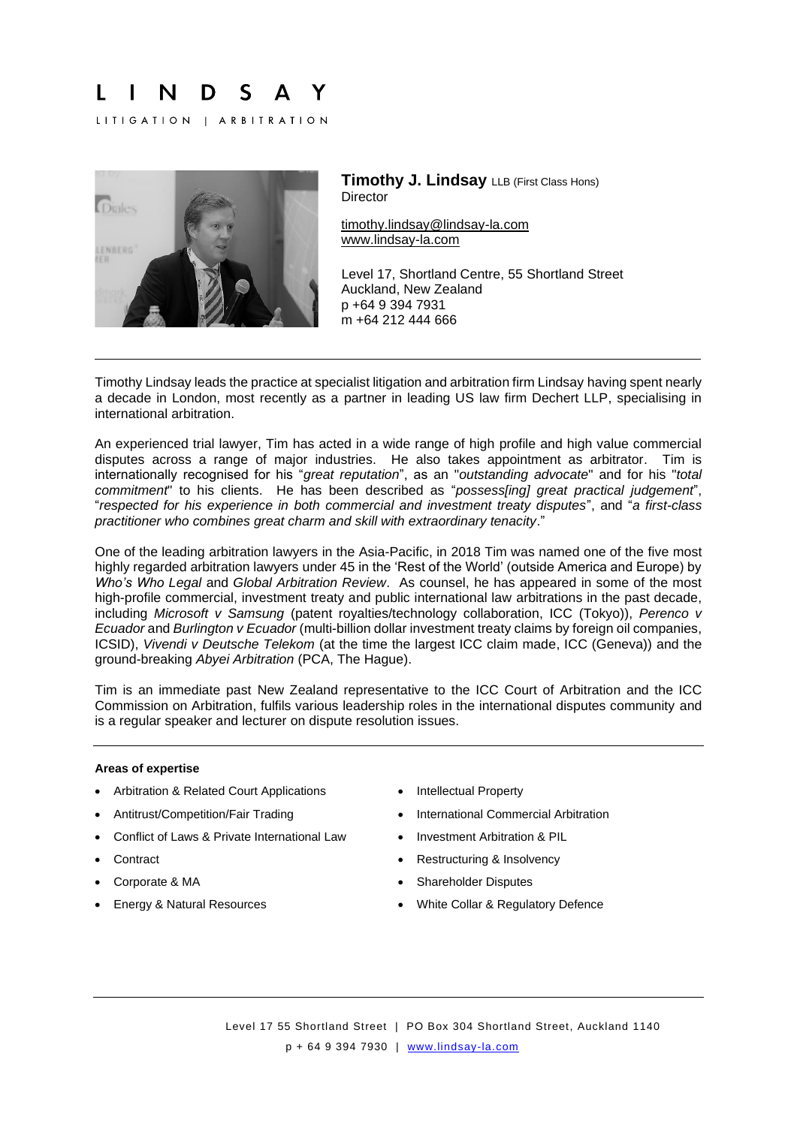#### $\mathbf{I}$  $N$  $\mathbf{1}$ D S A Y

LITIGATION | ARBITRATION



**Timothy J. Lindsay** LLB (First Class Hons) **Director** 

[timothy.lindsay@lindsay-la.com](mailto:timothy.lindsay@lindsay-la.com) [www.lindsay-la.com](http://www.lindsay-la.com/)

Level 17, Shortland Centre, 55 Shortland Street Auckland, New Zealand p +64 9 394 7931 m +64 212 444 666

Timothy Lindsay leads the practice at specialist litigation and arbitration firm Lindsay having spent nearly a decade in London, most recently as a partner in leading US law firm Dechert LLP, specialising in international arbitration.

An experienced trial lawyer, Tim has acted in a wide range of high profile and high value commercial disputes across a range of major industries. He also takes appointment as arbitrator. Tim is internationally recognised for his "*great reputation*", as an "*outstanding advocate*" and for his "*total commitment*" to his clients. He has been described as "*possess[ing] great practical judgement*", "*respected for his experience in both commercial and investment treaty disputes*", and "*a first-class practitioner who combines great charm and skill with extraordinary tenacity*."

One of the leading arbitration lawyers in the Asia-Pacific, in 2018 Tim was named one of the five most highly regarded arbitration lawyers under 45 in the 'Rest of the World' (outside America and Europe) by *Who's Who Legal* and *Global Arbitration Review*. As counsel, he has appeared in some of the most high-profile commercial, investment treaty and public international law arbitrations in the past decade, including *Microsoft v Samsung* (patent royalties/technology collaboration, ICC (Tokyo)), *Perenco v Ecuador* and *Burlington v Ecuador* (multi-billion dollar investment treaty claims by foreign oil companies, ICSID), *Vivendi v Deutsche Telekom* (at the time the largest ICC claim made, ICC (Geneva)) and the ground-breaking *Abyei Arbitration* (PCA, The Hague).

Tim is an immediate past New Zealand representative to the ICC Court of Arbitration and the ICC Commission on Arbitration, fulfils various leadership roles in the international disputes community and is a regular speaker and lecturer on dispute resolution issues.

### **Areas of expertise**

- Arbitration & Related Court Applications Intellectual Property
- 
- Conflict of Laws & Private International Law Investment Arbitration & PIL
- 
- 
- 
- 
- Antitrust/Competition/Fair Trading International Commercial Arbitration
	-
- **•** Restructuring & Insolvency
- Corporate & MA Shareholder Disputes
- Energy & Natural Resources White Collar & Regulatory Defence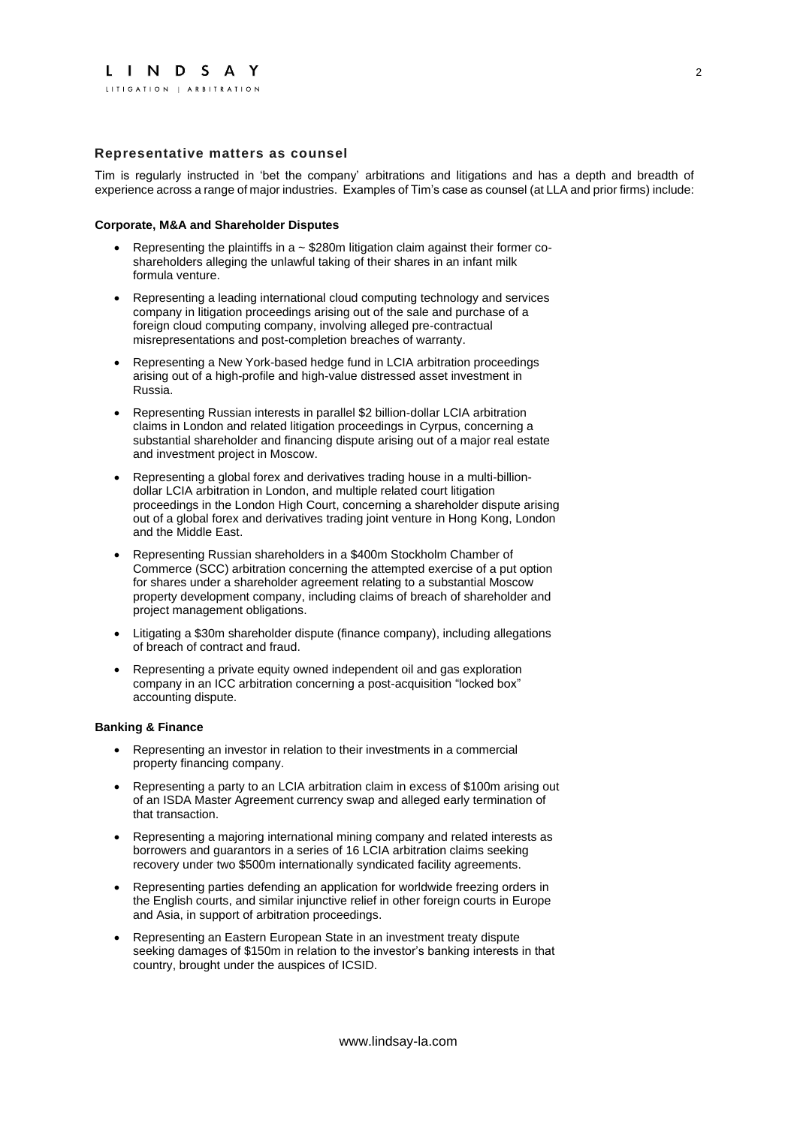## L I N D S A Y LITIGATION | ARBITRATION

## **Representative matters as counsel**

Tim is regularly instructed in 'bet the company' arbitrations and litigations and has a depth and breadth of experience across a range of major industries. Examples of Tim's case as counsel (at LLA and prior firms) include:

## **Corporate, M&A and Shareholder Disputes**

- Representing the plaintiffs in a  $\sim$  \$280m litigation claim against their former coshareholders alleging the unlawful taking of their shares in an infant milk formula venture.
- Representing a leading international cloud computing technology and services company in litigation proceedings arising out of the sale and purchase of a foreign cloud computing company, involving alleged pre-contractual misrepresentations and post-completion breaches of warranty.
- Representing a New York-based hedge fund in LCIA arbitration proceedings arising out of a high-profile and high-value distressed asset investment in Russia.
- Representing Russian interests in parallel \$2 billion-dollar LCIA arbitration claims in London and related litigation proceedings in Cyrpus, concerning a substantial shareholder and financing dispute arising out of a major real estate and investment project in Moscow.
- Representing a global forex and derivatives trading house in a multi-billiondollar LCIA arbitration in London, and multiple related court litigation proceedings in the London High Court, concerning a shareholder dispute arising out of a global forex and derivatives trading joint venture in Hong Kong, London and the Middle East.
- Representing Russian shareholders in a \$400m Stockholm Chamber of Commerce (SCC) arbitration concerning the attempted exercise of a put option for shares under a shareholder agreement relating to a substantial Moscow property development company, including claims of breach of shareholder and project management obligations.
- Litigating a \$30m shareholder dispute (finance company), including allegations of breach of contract and fraud.
- Representing a private equity owned independent oil and gas exploration company in an ICC arbitration concerning a post-acquisition "locked box" accounting dispute.

#### **Banking & Finance**

- Representing an investor in relation to their investments in a commercial property financing company.
- Representing a party to an LCIA arbitration claim in excess of \$100m arising out of an ISDA Master Agreement currency swap and alleged early termination of that transaction.
- Representing a majoring international mining company and related interests as borrowers and guarantors in a series of 16 LCIA arbitration claims seeking recovery under two \$500m internationally syndicated facility agreements.
- Representing parties defending an application for worldwide freezing orders in the English courts, and similar injunctive relief in other foreign courts in Europe and Asia, in support of arbitration proceedings.
- Representing an Eastern European State in an investment treaty dispute seeking damages of \$150m in relation to the investor's banking interests in that country, brought under the auspices of ICSID.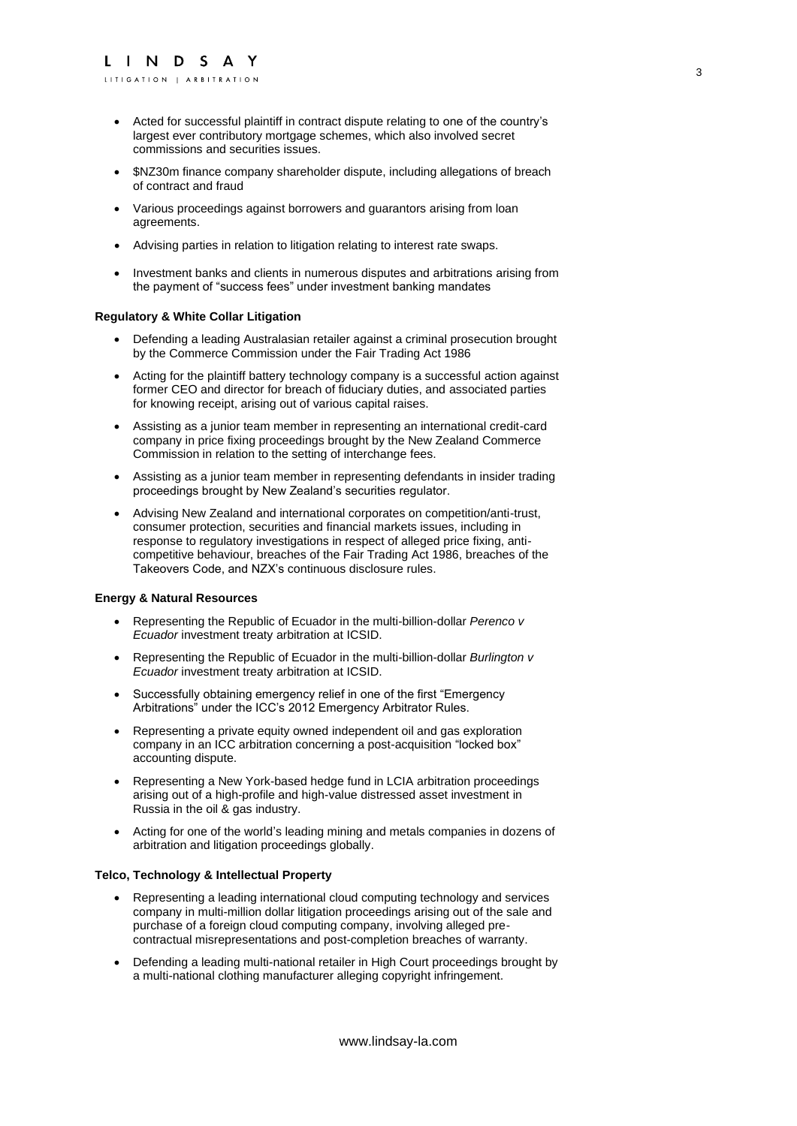- Acted for successful plaintiff in contract dispute relating to one of the country's largest ever contributory mortgage schemes, which also involved secret commissions and securities issues.
- \$NZ30m finance company shareholder dispute, including allegations of breach of contract and fraud
- Various proceedings against borrowers and guarantors arising from loan agreements.
- Advising parties in relation to litigation relating to interest rate swaps.
- Investment banks and clients in numerous disputes and arbitrations arising from the payment of "success fees" under investment banking mandates

## **Regulatory & White Collar Litigation**

- Defending a leading Australasian retailer against a criminal prosecution brought by the Commerce Commission under the Fair Trading Act 1986
- Acting for the plaintiff battery technology company is a successful action against former CEO and director for breach of fiduciary duties, and associated parties for knowing receipt, arising out of various capital raises.
- Assisting as a junior team member in representing an international credit-card company in price fixing proceedings brought by the New Zealand Commerce Commission in relation to the setting of interchange fees.
- Assisting as a junior team member in representing defendants in insider trading proceedings brought by New Zealand's securities regulator.
- Advising New Zealand and international corporates on competition/anti-trust, consumer protection, securities and financial markets issues, including in response to regulatory investigations in respect of alleged price fixing, anticompetitive behaviour, breaches of the Fair Trading Act 1986, breaches of the Takeovers Code, and NZX's continuous disclosure rules.

### **Energy & Natural Resources**

- Representing the Republic of Ecuador in the multi-billion-dollar *Perenco v Ecuador* investment treaty arbitration at ICSID.
- Representing the Republic of Ecuador in the multi-billion-dollar *Burlington v Ecuador* investment treaty arbitration at ICSID.
- Successfully obtaining emergency relief in one of the first "Emergency Arbitrations" under the ICC's 2012 Emergency Arbitrator Rules.
- Representing a private equity owned independent oil and gas exploration company in an ICC arbitration concerning a post-acquisition "locked box" accounting dispute.
- Representing a New York-based hedge fund in LCIA arbitration proceedings arising out of a high-profile and high-value distressed asset investment in Russia in the oil & gas industry.
- Acting for one of the world's leading mining and metals companies in dozens of arbitration and litigation proceedings globally.

## **Telco, Technology & Intellectual Property**

- Representing a leading international cloud computing technology and services company in multi-million dollar litigation proceedings arising out of the sale and purchase of a foreign cloud computing company, involving alleged precontractual misrepresentations and post-completion breaches of warranty.
- Defending a leading multi-national retailer in High Court proceedings brought by a multi-national clothing manufacturer alleging copyright infringement.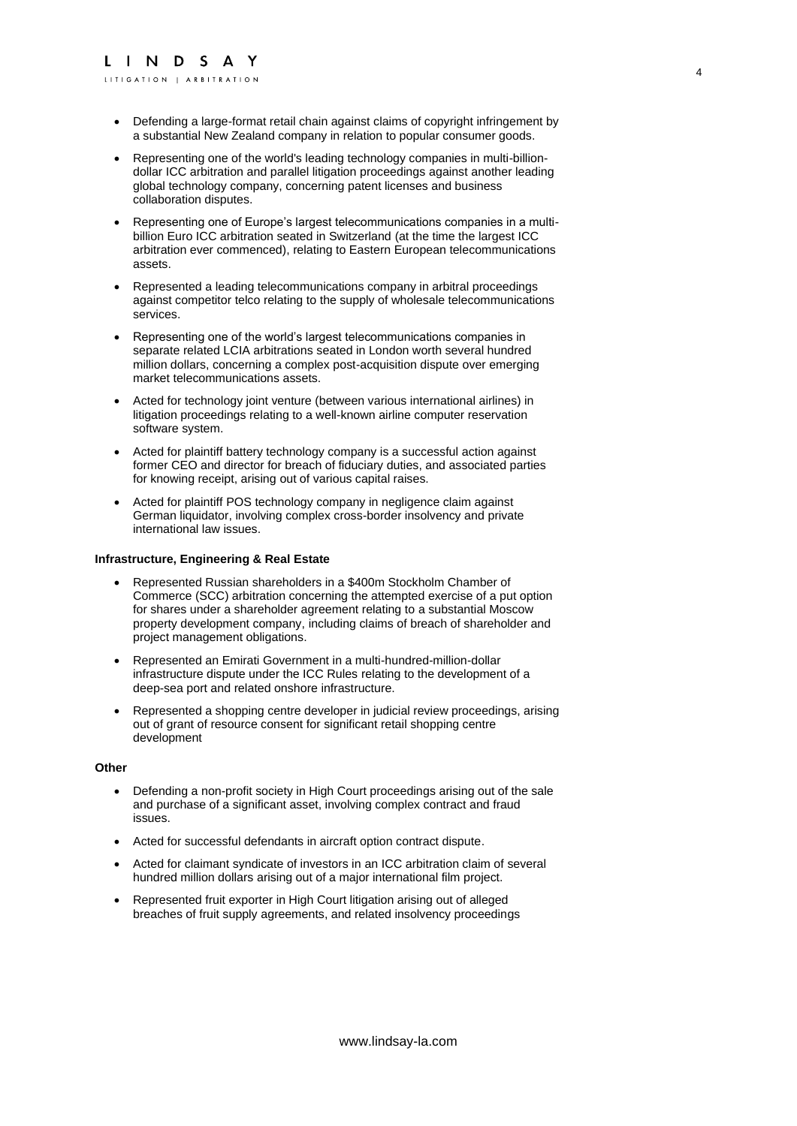- Defending a large-format retail chain against claims of copyright infringement by a substantial New Zealand company in relation to popular consumer goods.
- Representing one of the world's leading technology companies in multi-billiondollar ICC arbitration and parallel litigation proceedings against another leading global technology company, concerning patent licenses and business collaboration disputes.
- Representing one of Europe's largest telecommunications companies in a multibillion Euro ICC arbitration seated in Switzerland (at the time the largest ICC arbitration ever commenced), relating to Eastern European telecommunications assets.
- Represented a leading telecommunications company in arbitral proceedings against competitor telco relating to the supply of wholesale telecommunications services.
- Representing one of the world's largest telecommunications companies in separate related LCIA arbitrations seated in London worth several hundred million dollars, concerning a complex post-acquisition dispute over emerging market telecommunications assets.
- Acted for technology joint venture (between various international airlines) in litigation proceedings relating to a well-known airline computer reservation software system.
- Acted for plaintiff battery technology company is a successful action against former CEO and director for breach of fiduciary duties, and associated parties for knowing receipt, arising out of various capital raises.
- Acted for plaintiff POS technology company in negligence claim against German liquidator, involving complex cross-border insolvency and private international law issues.

### **Infrastructure, Engineering & Real Estate**

- Represented Russian shareholders in a \$400m Stockholm Chamber of Commerce (SCC) arbitration concerning the attempted exercise of a put option for shares under a shareholder agreement relating to a substantial Moscow property development company, including claims of breach of shareholder and project management obligations.
- Represented an Emirati Government in a multi-hundred-million-dollar infrastructure dispute under the ICC Rules relating to the development of a deep-sea port and related onshore infrastructure.
- Represented a shopping centre developer in judicial review proceedings, arising out of grant of resource consent for significant retail shopping centre development

#### **Other**

- Defending a non-profit society in High Court proceedings arising out of the sale and purchase of a significant asset, involving complex contract and fraud issues.
- Acted for successful defendants in aircraft option contract dispute.
- Acted for claimant syndicate of investors in an ICC arbitration claim of several hundred million dollars arising out of a major international film project.
- Represented fruit exporter in High Court litigation arising out of alleged breaches of fruit supply agreements, and related insolvency proceedings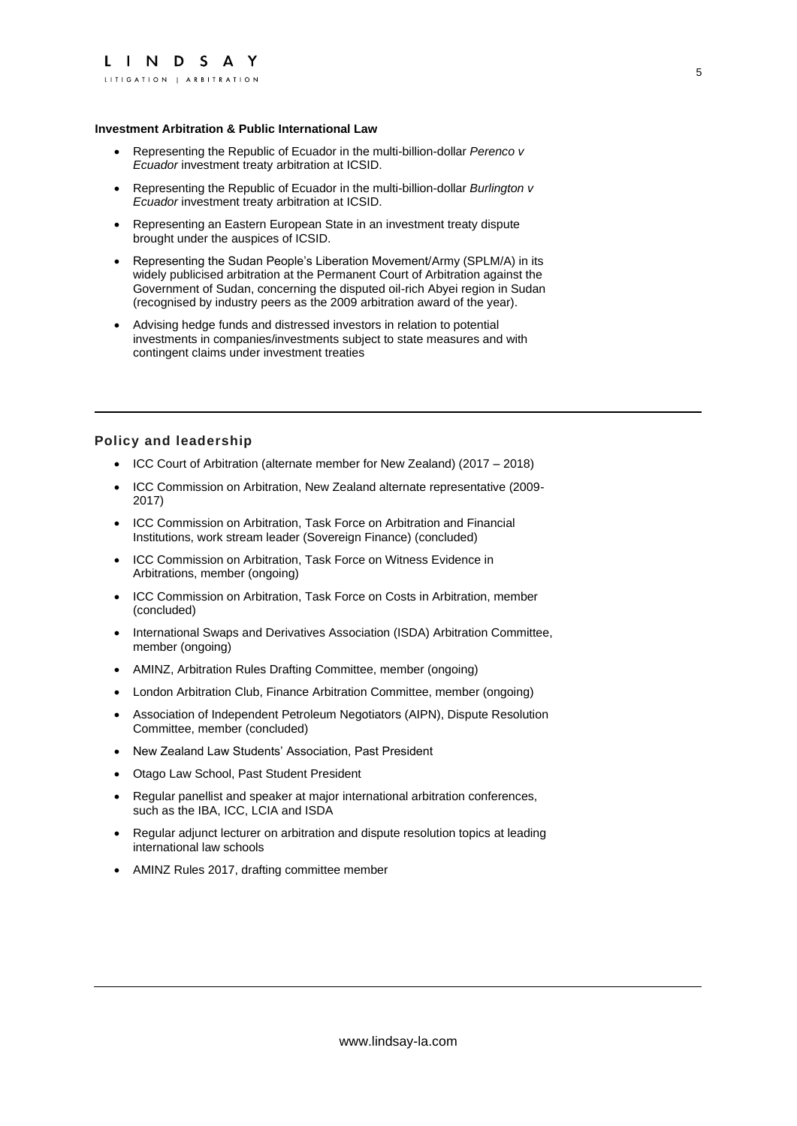## **Investment Arbitration & Public International Law**

- Representing the Republic of Ecuador in the multi-billion-dollar *Perenco v Ecuador* investment treaty arbitration at ICSID.
- Representing the Republic of Ecuador in the multi-billion-dollar *Burlington v Ecuador* investment treaty arbitration at ICSID.
- Representing an Eastern European State in an investment treaty dispute brought under the auspices of ICSID.
- Representing the Sudan People's Liberation Movement/Army (SPLM/A) in its widely publicised arbitration at the Permanent Court of Arbitration against the Government of Sudan, concerning the disputed oil-rich Abyei region in Sudan (recognised by industry peers as the 2009 arbitration award of the year).
- Advising hedge funds and distressed investors in relation to potential investments in companies/investments subject to state measures and with contingent claims under investment treaties

## **Policy and leadership**

- ICC Court of Arbitration (alternate member for New Zealand) (2017 2018)
- ICC Commission on Arbitration, New Zealand alternate representative (2009- 2017)
- ICC Commission on Arbitration, Task Force on Arbitration and Financial Institutions, work stream leader (Sovereign Finance) (concluded)
- ICC Commission on Arbitration, Task Force on Witness Evidence in Arbitrations, member (ongoing)
- ICC Commission on Arbitration, Task Force on Costs in Arbitration, member (concluded)
- International Swaps and Derivatives Association (ISDA) Arbitration Committee, member (ongoing)
- AMINZ, Arbitration Rules Drafting Committee, member (ongoing)
- London Arbitration Club, Finance Arbitration Committee, member (ongoing)
- Association of Independent Petroleum Negotiators (AIPN), Dispute Resolution Committee, member (concluded)
- New Zealand Law Students' Association, Past President
- Otago Law School, Past Student President
- Regular panellist and speaker at major international arbitration conferences, such as the IBA, ICC, LCIA and ISDA
- Regular adjunct lecturer on arbitration and dispute resolution topics at leading international law schools
- AMINZ Rules 2017, drafting committee member